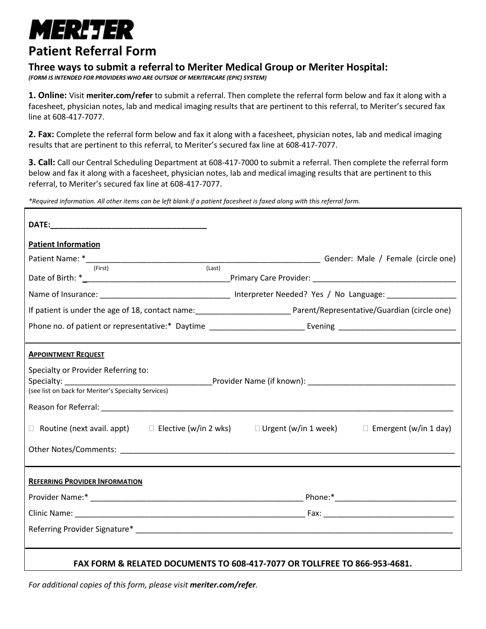## *MERLTER*

## **Patient Referral Form**

## **Three ways to submit a referral to Meriter Medical Group or Meriter Hospital:**

*(FORM IS INTENDED FOR PROVIDERS WHO ARE OUTSIDE OF MERITERCARE (EPIC) SYSTEM)*

**1. Online:** Visit **meriter.com/refer** to submit a referral. Then complete the referral form below and fax it along with a facesheet, physician notes, lab and medical imaging results that are pertinent to this referral, to Meriter's secured fax line at 608-417-7077.

**2. Fax:** Complete the referral form below and fax it along with a facesheet, physician notes, lab and medical imaging results that are pertinent to this referral, to Meriter's secured fax line at 608-417-7077.

**3. Call:** Call our Central Scheduling Department at 608-417-7000 to submit a referral. Then complete the referral form below and fax it along with a facesheet, physician notes, lab and medical imaging results that are pertinent to this referral, to Meriter's secured fax line at 608-417-7077.

*\*Required information. All other items can be left blank if a patient facesheet is faxed along with this referral form.*

| <b>Patient Information</b>                                                                                                                                                                                                     |
|--------------------------------------------------------------------------------------------------------------------------------------------------------------------------------------------------------------------------------|
|                                                                                                                                                                                                                                |
| (Last)<br>(First)                                                                                                                                                                                                              |
| Name of Insurance: ___________________________________ Interpreter Needed? Yes / No Language: ________________                                                                                                                 |
| If patient is under the age of 18, contact name:<br><u> Lettic Lorent Learness</u> Parent/Representative/Guardian (circle one)                                                                                                 |
|                                                                                                                                                                                                                                |
| <b>APPOINTMENT REQUEST</b><br>Specialty or Provider Referring to:<br>□ Routine (next avail. appt) □ Elective (w/in 2 wks) □ Urgent (w/in 1 week) □ Emergent (w/in 1 day)                                                       |
| <b>REFERRING PROVIDER INFORMATION</b>                                                                                                                                                                                          |
|                                                                                                                                                                                                                                |
|                                                                                                                                                                                                                                |
| Referring Provider Signature* The Commission of the Commission of the Commission of the Commission of the Commission of the Commission of the Commission of the Commission of the Commission of the Commission of the Commissi |
| FAX FORM & RELATED DOCUMENTS TO 608-417-7077 OR TOLLFREE TO 866-953-4681.                                                                                                                                                      |

*For additional copies of this form, please visit meriter.com/refer.*